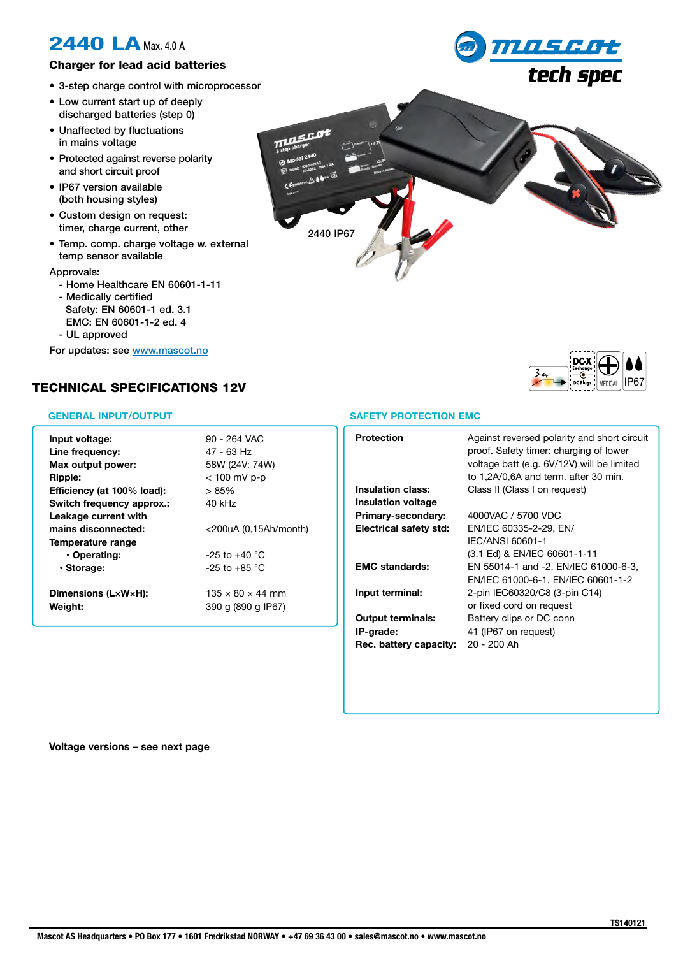## **2440 LA** Max. 4.0 A

### Charger for lead acid batteries

- 3-step charge control with microprocessor
- Low current start up of deeply discharged batteries (step 0)
- Unaffected by fluctuations in mains voltage
- Protected against reverse polarity and short circuit proof
- IP67 version available (both housing styles)
- Custom design on request: timer, charge current, other
- Temp. comp. charge voltage w. external temp sensor available

Approvals:

- Home Healthcare EN 60601-1-11
- Medically certified Safety: EN 60601-1 ed. 3.1 EMC: EN 60601-1-2 ed. 4
- UL approved

For updates: see www.mascot.no

### TECHNICAL SPECIFICATIONS 12V

#### **GENERAL INPUT/OUTPUT**

| Input voltage:<br>Line frequency:<br>Max output power:<br>Ripple: | 90 - 264 VAC<br>47 - 63 Hz<br>58W (24V: 74W)<br>< 100 mV p-p |
|-------------------------------------------------------------------|--------------------------------------------------------------|
| Efficiency (at 100% load):                                        | $>85\%$                                                      |
| Switch frequency approx.:                                         | 40 kHz                                                       |
| Leakage current with                                              |                                                              |
| mains disconnected:                                               | $<$ 200uA (0,15Ah/month)                                     |
| Temperature range                                                 |                                                              |
| • Operating:                                                      | $-25$ to $+40$ °C                                            |
| · Storage:                                                        | $-25$ to $+85$ °C                                            |
| Dimensions (LxWxH):                                               | $135 \times 80 \times 44$ mm                                 |
| Weight:                                                           | 390 g (890 g IP67)                                           |







#### **SAFETY PROTECTION EMC**

| <b>Protection</b>         | Against reversed polarity and short circuit<br>proof. Safety timer: charging of lower<br>voltage batt (e.g. 6V/12V) will be limited<br>to 1,2A/0,6A and term. after 30 min. |
|---------------------------|-----------------------------------------------------------------------------------------------------------------------------------------------------------------------------|
| <b>Insulation class:</b>  | Class II (Class I on request)                                                                                                                                               |
| <b>Insulation voltage</b> |                                                                                                                                                                             |
| Primary-secondary:        | 4000VAC / 5700 VDC                                                                                                                                                          |
| Electrical safety std:    | EN/IEC 60335-2-29, EN/                                                                                                                                                      |
|                           | IEC/ANSI 60601-1                                                                                                                                                            |
|                           | (3.1 Ed) & EN/IEC 60601-1-11                                                                                                                                                |
| <b>EMC</b> standards:     | EN 55014-1 and -2, EN/IEC 61000-6-3,                                                                                                                                        |
|                           | EN/IEC 61000-6-1, EN/IEC 60601-1-2                                                                                                                                          |
| Input terminal:           | 2-pin IEC60320/C8 (3-pin C14)                                                                                                                                               |
|                           | or fixed cord on request                                                                                                                                                    |
| <b>Output terminals:</b>  | Battery clips or DC conn                                                                                                                                                    |
| IP-grade:                 | 41 (IP67 on request)                                                                                                                                                        |
| Rec. battery capacity:    | 20 - 200 Ah                                                                                                                                                                 |
|                           |                                                                                                                                                                             |

**Voltage versions – see next page**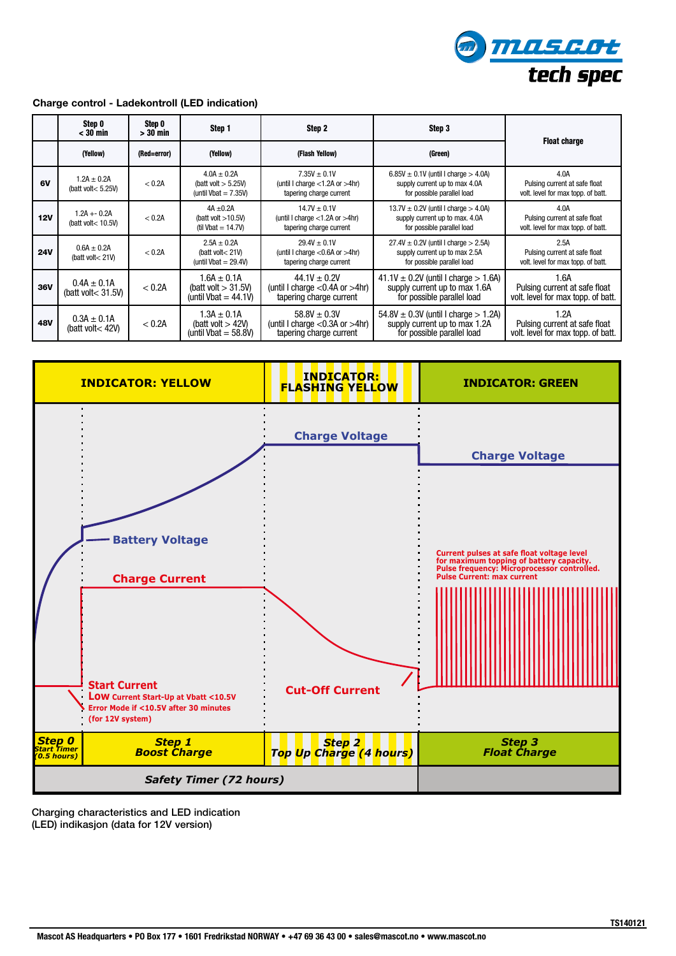

#### **Charge control - Ladekontroll (LED indication)**

|            | Step 0<br>< 30 min                        | Step 0<br>> 30 min | Step 1                                                               | Step 2                                                                               | Step 3                                                                                                     | <b>Float charge</b>                                                         |
|------------|-------------------------------------------|--------------------|----------------------------------------------------------------------|--------------------------------------------------------------------------------------|------------------------------------------------------------------------------------------------------------|-----------------------------------------------------------------------------|
|            | (Yellow)                                  | (Red=error)        | (Yellow)                                                             | (Flash Yellow)                                                                       | (Green)                                                                                                    |                                                                             |
| 6V         | $1.2A \pm 0.2A$<br>(batt volt $< 5.25V$ ) | < 0.2A             | $4.0A \pm 0.2A$<br>(batt volt $> 5.25V$ )<br>(until $Vbat = 7.35V$ ) | $7.35V \pm 0.1V$<br>(until I charge $<$ 1.2A or $>$ 4hr)<br>tapering charge current  | $6.85V \pm 0.1V$ (until I charge $> 4.0A$ )<br>supply current up to max 4.0A<br>for possible parallel load | 4.0A<br>Pulsing current at safe float<br>volt. level for max topp. of batt. |
| 12V        | $1.2A + 0.2A$<br>(batt volt< 10.5V)       | < 0.2A             | $4A \pm 0.2A$<br>(batt volt $>10.5V$ )<br>(til Vbat = $14.7V$ )      | $14.7V \pm 0.1V$<br>(until I charge $<$ 1.2A or $>$ 4hr)<br>tapering charge current  | 13.7V $\pm$ 0.2V (until I charge $>$ 4.0A)<br>supply current up to max. 4.0A<br>for possible parallel load | 4.0A<br>Pulsing current at safe float<br>volt. level for max topp. of batt. |
| <b>24V</b> | $0.6A \pm 0.2A$<br>(batt volt $<$ 21V)    | < 0.2A             | $2.5A \pm 0.2A$<br>(batt volt $<$ 21V)<br>(until $Vbat = 29.4V$ )    | $29.4V \pm 0.1V$<br>(until I charge $<$ 0.6A or $>$ 4hr)<br>tapering charge current  | $27.4V \pm 0.2V$ (until I charge $> 2.5A$ )<br>supply current up to max 2.5A<br>for possible parallel load | 2.5A<br>Pulsing current at safe float<br>volt. level for max topp. of batt. |
| 36V        | $0.4A \pm 0.1A$<br>(batt volt $<$ 31.5V)  | < 0.2A             | $1.6A \pm 0.1A$<br>(batt volt $> 31.5$ V)<br>(until Vbat = $44.1V$ ) | $44.1V \pm 0.2V$<br>(until I charge $<$ 0.4A or $>$ 4hr)<br>tapering charge current  | 41.1V $\pm$ 0.2V (until I charge $>$ 1.6A)<br>supply current up to max 1.6A<br>for possible parallel load  | 1.6A<br>Pulsing current at safe float<br>volt. level for max topp. of batt. |
| 48V        | $0.3A \pm 0.1A$<br>(batt volt < 42V)      | < 0.2A             | $1.3A \pm 0.1A$<br>(batt volt $>420$ )<br>(until Vbat $=$ 58.8V)     | $58.8V \pm 0.3V$<br>(until I charge $< 0.3A$ or $> 4hr$ )<br>tapering charge current | $54.8V \pm 0.3V$ (until I charge $> 1.2A$ )<br>supply current up to max 1.2A<br>for possible parallel load | 1.2A<br>Pulsing current at safe float<br>volt. level for max topp. of batt. |



Charging characteristics and LED indication (LED) indikasjon (data for 12V version) LED indication<br>V version)

**INDICATOR:**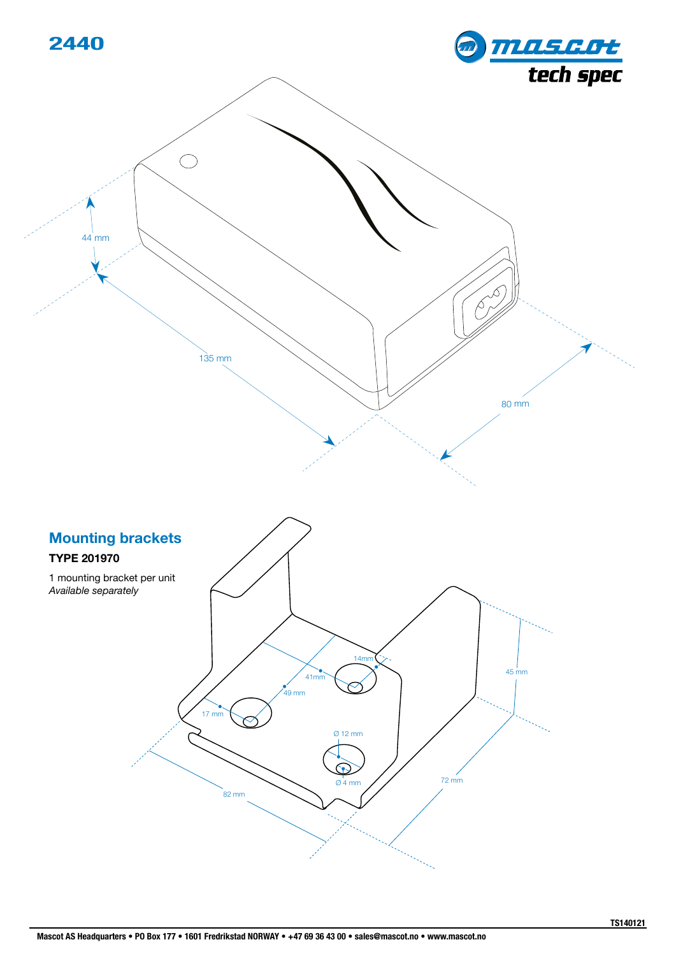